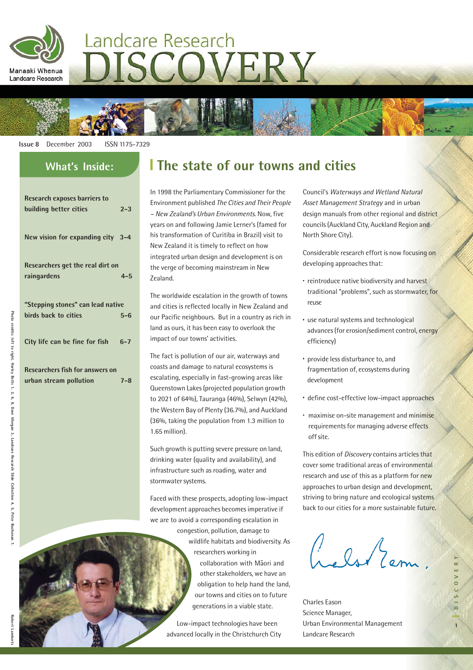

# Landcare Research DISCOVERY

**Issue 8** December 2003 ISSN 1175-7329

| <b>Research exposes barriers to</b>    |         |  |  |
|----------------------------------------|---------|--|--|
| building better cities                 | $2 - 3$ |  |  |
| New vision for expanding city 3-4      |         |  |  |
| Researchers get the real dirt on       |         |  |  |
| raingardens                            | $4 - 5$ |  |  |
| "Stepping stones" can lead native      |         |  |  |
| hirds hack to cities                   | $5 - 6$ |  |  |
| City life can be fine for fish         | $6 - 7$ |  |  |
| <b>Researchers fish for answers on</b> |         |  |  |
| urban stream pollution                 | $7 - 8$ |  |  |

## **What's Inside: The state of our towns and cities**

In 1998 the Parliamentary Commissioner for the Environment published The Cities and Their People – New Zealand's Urban Environments. Now, five years on and following Jamie Lerner's (famed for his transformation of Curitiba in Brazil) visit to New Zealand it is timely to reflect on how integrated urban design and development is on the verge of becoming mainstream in New Zealand.

The worldwide escalation in the growth of towns and cities is reflected locally in New Zealand and our Pacific neighbours. But in a country as rich in land as ours, it has been easy to overlook the impact of our towns' activities.

The fact is pollution of our air, waterways and coasts and damage to natural ecosystems is escalating, especially in fast-growing areas like Queenstown Lakes (projected population growth to 2021 of 64%), Tauranga (46%), Selwyn (42%), the Western Bay of Plenty (36.7%), and Auckland (36%, taking the population from 1.3 million to 1.65 million).

Such growth is putting severe pressure on land, drinking water (quality and availability), and infrastructure such as roading, water and stormwater systems.

Faced with these prospects, adopting low-impact development approaches becomes imperative if we are to avoid a corresponding escalation in

> congestion, pollution, damage to wildlife habitats and biodiversity. As researchers working in collaboration with M-aori and other stakeholders, we have an obligation to help hand the land, our towns and cities on to future generations in a viable state.

Low-impact technologies have been advanced locally in the Christchurch City Council's Waterways and Wetland Natural Asset Management Strategy and in urban design manuals from other regional and district councils (Auckland City, Auckland Region and North Shore City).

Considerable research effort is now focusing on developing approaches that:

- · reintroduce native biodiversity and harvest traditional "problems", such as stormwater, for reuse
- · use natural systems and technological advances (for erosion/sediment control, energy efficiency)
- · provide less disturbance to, and fragmentation of, ecosystems during development
- · define cost-effective low-impact approaches
- · maximise on-site management and minimise requirements for managing adverse effects off site.

This edition of Discovery contains articles that cover some traditional areas of environmental research and use of this as a platform for new approaches to urban design and development, striving to bring nature and ecological systems back to our cities for a more sustainable future.

Crebson Zem.

Charles Eason Science Manager, Urban Environmental Management Landcare Research

**Photo credits: left to right, Harley Betts 1, 2, 6, 8, Dave Morgan 3, Landcare Research Slide Collection 4, 5, Peter Buchanan 7.**

Morgan 3, Landcare Research Slide

: Collection

4, 5, Peter Buchanan

Photo

credits: left to right, Harley Betts 1, 2, 6, 8, Dave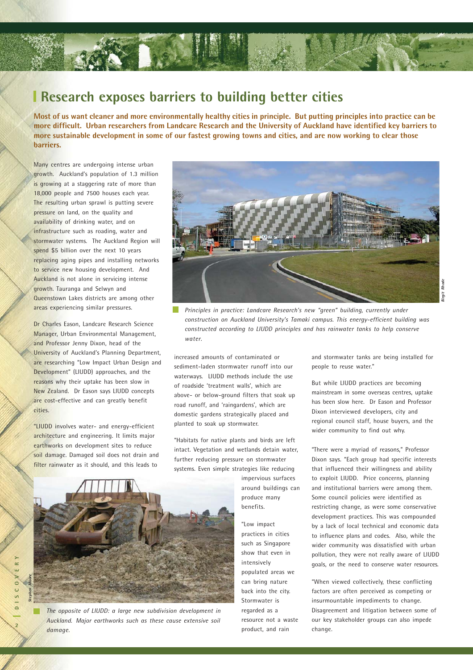

#### **Research exposes barriers to building better cities**

**Most of us want cleaner and more environmentally healthy cities in principle. But putting principles into practice can be more difficult. Urban researchers from Landcare Research and the University of Auckland have identified key barriers to more sustainable development in some of our fastest growing towns and cities, and are now working to clear those barriers.**

Many centres are undergoing intense urban growth. Auckland's population of 1.3 million is growing at a staggering rate of more than 18,000 people and 7500 houses each year. The resulting urban sprawl is putting severe pressure on land, on the quality and availability of drinking water, and on infrastructure such as roading, water and stormwater systems. The Auckland Region will spend \$5 billion over the next 10 years replacing aging pipes and installing networks to service new housing development. And Auckland is not alone in servicing intense growth. Tauranga and Selwyn and Queenstown Lakes districts are among other areas experiencing similar pressures.

Dr Charles Eason, Landcare Research Science Manager, Urban Environmental Management, and Professor Jenny Dixon, head of the University of Auckland's Planning Department, are researching "Low Impact Urban Design and Development" (LIUDD) approaches, and the reasons why their uptake has been slow in New Zealand. Dr Eason says LIUDD concepts are cost-effective and can greatly benefit cities.

"LIUDD involves water- and energy-efficient architecture and engineering. It limits major earthworks on development sites to reduce soil damage. Damaged soil does not drain and filter rainwater as it should, and this leads to



*Principles in practice: Landcare Research's new "green" building, currently under construction on Auckland University's Tamaki campus. This energy-efficient building was constructed according to LIUDD principles and has rainwater tanks to help conserve water.*

increased amounts of contaminated or sediment-laden stormwater runoff into our waterways. LIUDD methods include the use of roadside 'treatment walls', which are above- or below-ground filters that soak up road runoff, and 'raingardens', which are domestic gardens strategically placed and planted to soak up stormwater.

"Habitats for native plants and birds are left intact. Vegetation and wetlands detain water, further reducing pressure on stormwater systems. Even simple strategies like reducing

> impervious surfaces around buildings can produce many benefits.

"Low impact practices in cities such as Singapore show that even in intensively populated areas we can bring nature back into the city. Stormwater is regarded as a resource not a waste product, and rain

and stormwater tanks are being installed for people to reuse water."

But while LIUDD practices are becoming mainstream in some overseas centres, uptake has been slow here. Dr Eason and Professor Dixon interviewed developers, city and regional council staff, house buyers, and the wider community to find out why.

"There were a myriad of reasons," Professor Dixon says. "Each group had specific interests that influenced their willingness and ability to exploit LIUDD. Price concerns, planning and institutional barriers were among them. Some council policies were identified as restricting change, as were some conservative development practices. This was compounded by a lack of local technical and economic data to influence plans and codes. Also, while the wider community was dissatisfied with urban pollution, they were not really aware of LIUDD goals, or the need to conserve water resources.

"When viewed collectively, these conflicting factors are often perceived as competing or insurmountable impediments to change. Disagreement and litigation between some of our key stakeholder groups can also impede change.

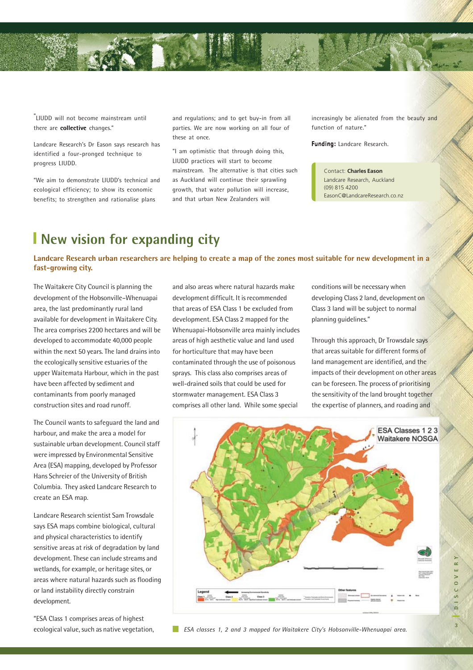

" LIUDD will not become mainstream until there are collective changes."

Landcare Research's Dr Eason says research has identified a four-pronged technique to progress LIUDD.

"We aim to demonstrate LIUDD's technical and ecological efficiency; to show its economic benefits; to strengthen and rationalise plans

and regulations; and to get buy-in from all parties. We are now working on all four of these at once.

"I am optimistic that through doing this, LIUDD practices will start to become mainstream. The alternative is that cities such as Auckland will continue their sprawling growth, that water pollution will increase, and that urban New Zealanders will

increasingly be alienated from the beauty and function of nature."

Funding: Landcare Research.

Contact: **Charles Eason** Landcare Research, Auckland (09) 815 4200 EasonC@LandcareResearch.co.nz

#### **New vision for expanding city**

**Landcare Research urban researchers are helping to create a map of the zones most suitable for new development in a fast-growing city.**

The Waitakere City Council is planning the development of the Hobsonville–Whenuapai area, the last predominantly rural land available for development in Waitakere City. The area comprises 2200 hectares and will be developed to accommodate 40,000 people within the next 50 years. The land drains into the ecologically sensitive estuaries of the upper Waitemata Harbour, which in the past have been affected by sediment and contaminants from poorly managed construction sites and road runoff.

The Council wants to safeguard the land and harbour, and make the area a model for sustainable urban development. Council staff were impressed by Environmental Sensitive Area (ESA) mapping, developed by Professor Hans Schreier of the University of British Columbia. They asked Landcare Research to create an ESA map.

Landcare Research scientist Sam Trowsdale says ESA maps combine biological, cultural and physical characteristics to identify sensitive areas at risk of degradation by land development. These can include streams and wetlands, for example, or heritage sites, or areas where natural hazards such as flooding or land instability directly constrain development.

"ESA Class 1 comprises areas of highest

and also areas where natural hazards make development difficult. It is recommended that areas of ESA Class 1 be excluded from development. ESA Class 2 mapped for the Whenuapai-Hobsonville area mainly includes areas of high aesthetic value and land used for horticulture that may have been contaminated through the use of poisonous sprays. This class also comprises areas of well-drained soils that could be used for stormwater management. ESA Class 3 comprises all other land. While some special

conditions will be necessary when developing Class 2 land, development on Class 3 land will be subject to normal planning guidelines."

Through this approach, Dr Trowsdale says that areas suitable for different forms of land management are identified, and the impacts of their development on other areas can be foreseen. The process of prioritising the sensitivity of the land brought together the expertise of planners, and roading and

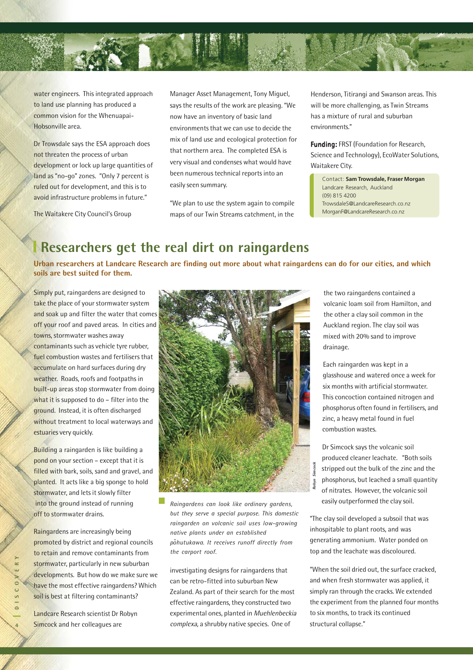

water engineers. This integrated approach to land use planning has produced a common vision for the Whenuapai-Hobsonville area.

Dr Trowsdale says the ESA approach does not threaten the process of urban development or lock up large quantities of land as "no-go" zones. "Only 7 percent is ruled out for development, and this is to avoid infrastructure problems in future."

The Waitakere City Council's Group

Manager Asset Management, Tony Miguel, says the results of the work are pleasing. "We now have an inventory of basic land environments that we can use to decide the mix of land use and ecological protection for that northern area. The completed ESA is very visual and condenses what would have been numerous technical reports into an easily seen summary.

"We plan to use the system again to compile maps of our Twin Streams catchment, in the

Henderson, Titirangi and Swanson areas. This will be more challenging, as Twin Streams has a mixture of rural and suburban environments."

**Funding: FRST (Foundation for Research,** Science and Technology), EcoWater Solutions, Waitakere City.

Contact: **Sam Trowsdale, Fraser Morgan** Landcare Research, Auckland (09) 815 4200 TrowsdaleS@LandcareResearch.co.nz MorganF@LandcareResearch.co.nz

#### **Researchers get the real dirt on raingardens**

**Urban researchers at Landcare Research are finding out more about what raingardens can do for our cities, and which soils are best suited for them.**

Simply put, raingardens are designed to take the place of your stormwater system and soak up and filter the water that comes off your roof and paved areas. In cities and towns, stormwater washes away contaminants such as vehicle tyre rubber, fuel combustion wastes and fertilisers that accumulate on hard surfaces during dry weather. Roads, roofs and footpaths in built-up areas stop stormwater from doing what it is supposed to do – filter into the ground. Instead, it is often discharged without treatment to local waterways and estuaries very quickly.

Building a raingarden is like building a pond on your section – except that it is filled with bark, soils, sand and gravel, and planted. It acts like a big sponge to hold stormwater, and lets it slowly filter into the ground instead of running off to stormwater drains.

Raingardens are increasingly being promoted by district and regional councils to retain and remove contaminants from stormwater, particularly in new suburban developments. But how do we make sure we have the most effective raingardens? Which soil is best at filtering contaminants?

Landcare Research scientist Dr Robyn Simcock and her colleagues are



*Raingardens can look like ordinary gardens, but they serve a special purpose. This domestic raingarden on volcanic soil uses low-growing native plants under an established p-ohutukawa. It receives runoff directly from the carport roof.*

investigating designs for raingardens that can be retro-fitted into suburban New Zealand. As part of their search for the most effective raingardens, they constructed two experimental ones, planted in Muehlenbeckia complexa, a shrubby native species. One of

the two raingardens contained a volcanic loam soil from Hamilton, and the other a clay soil common in the Auckland region. The clay soil was mixed with 20% sand to improve drainage.

Each raingarden was kept in a glasshouse and watered once a week for six months with artificial stormwater. This concoction contained nitrogen and phosphorus often found in fertilisers, and zinc, a heavy metal found in fuel combustion wastes.

Dr Simcock says the volcanic soil produced cleaner leachate. "Both soils stripped out the bulk of the zinc and the phosphorus, but leached a small quantity of nitrates. However, the volcanic soil easily outperformed the clay soil.

**Robyn Simcock**

"The clay soil developed a subsoil that was inhospitable to plant roots, and was generating ammonium. Water ponded on top and the leachate was discoloured.

"When the soil dried out, the surface cracked, and when fresh stormwater was applied, it simply ran through the cracks. We extended the experiment from the planned four months to six months, to track its continued structural collapse."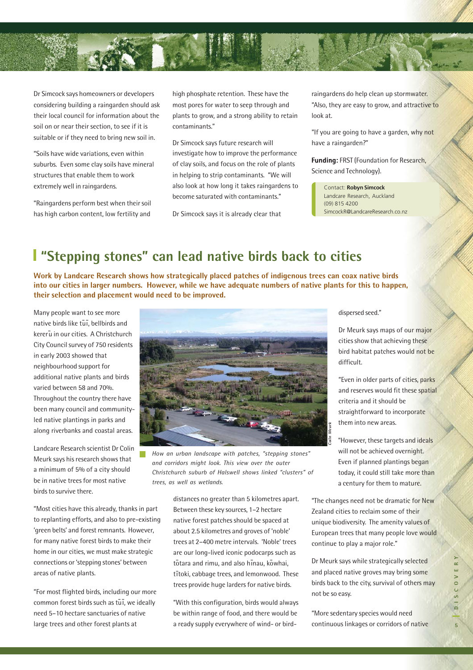

Dr Simcock says homeowners or developers considering building a raingarden should ask their local council for information about the soil on or near their section, to see if it is suitable or if they need to bring new soil in.

"Soils have wide variations, even within suburbs. Even some clay soils have mineral structures that enable them to work extremely well in raingardens.

"Raingardens perform best when their soil has high carbon content, low fertility and

high phosphate retention. These have the most pores for water to seep through and plants to grow, and a strong ability to retain contaminants."

Dr Simcock says future research will investigate how to improve the performance of clay soils, and focus on the role of plants in helping to strip contaminants. "We will also look at how long it takes raingardens to become saturated with contaminants."

Dr Simcock says it is already clear that

raingardens do help clean up stormwater. "Also, they are easy to grow, and attractive to look at.

"If you are going to have a garden, why not have a raingarden?"

Funding: FRST (Foundation for Research, Science and Technology).

Contact: **Robyn Simcock** Landcare Research, Auckland (09) 815 4200 SimcockR@LandcareResearch.co.nz

## **"Stepping stones" can lead native birds back to cities**

**Work by Landcare Research shows how strategically placed patches of indigenous trees can coax native birds into our cities in larger numbers. However, while we have adequate numbers of native plants for this to happen, their selection and placement would need to be improved.**

Many people want to see more native birds like tūī, bellbirds and kererū in our cities. A Christchurch City Council survey of 750 residents in early 2003 showed that neighbourhood support for additional native plants and birds varied between 58 and 70%. Throughout the country there have been many council and communityled native plantings in parks and along riverbanks and coastal areas.

Landcare Research scientist Dr Colin Meurk says his research shows that a minimum of 5% of a city should be in native trees for most native birds to survive there.

"Most cities have this already, thanks in part to replanting efforts, and also to pre-existing 'green belts' and forest remnants. However, for many native forest birds to make their home in our cities, we must make strategic connections or 'stepping stones' between areas of native plants.

"For most flighted birds, including our more common forest birds such as tūī, we ideally need 5–10 hectare sanctuaries of native large trees and other forest plants at



*How an urban landscape with patches, "stepping stones" and corridors might look. This view over the outer Christchurch suburb of Halswell shows linked "clusters" of trees, as well as wetlands.*

distances no greater than 5 kilometres apart. Between these key sources, 1–2 hectare native forest patches should be spaced at about 2.5 kilometres and groves of 'noble' trees at 2–400 metre intervals. 'Noble' trees are our long-lived iconic podocarps such as tōtara and rimu, and also hīnau, kōwhai, t - itoki, cabbage trees, and lemonwood. These trees provide huge larders for native birds.

"With this configuration, birds would always be within range of food, and there would be a ready supply everywhere of wind- or birddispersed seed."

Dr Meurk says maps of our major cities show that achieving these bird habitat patches would not be difficult.

"Even in older parts of cities, parks and reserves would fit these spatial criteria and it should be straightforward to incorporate them into new areas.

"However, these targets and ideals will not be achieved overnight. Even if planned plantings began today, it could still take more than a century for them to mature.

"The changes need not be dramatic for New Zealand cities to reclaim some of their unique biodiversity. The amenity values of European trees that many people love would continue to play a major role."

Dr Meurk says while strategically selected and placed native groves may bring some birds back to the city, survival of others may not be so easy.

"More sedentary species would need continuous linkages or corridors of native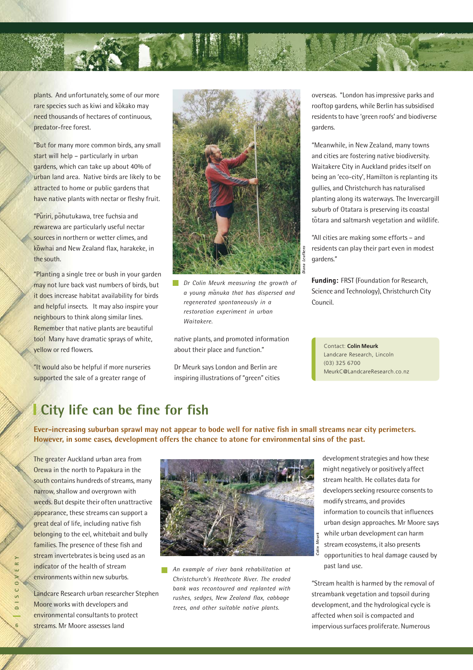

plants. And unfortunately, some of our more rare species such as kiwi and kōkako may need thousands of hectares of continuous, predator-free forest.

"But for many more common birds, any small start will help – particularly in urban gardens, which can take up about 40% of urban land area. Native birds are likely to be attracted to home or public gardens that have native plants with nectar or fleshy fruit.

<mark>"Pūriri, p</mark>ōhutukawa, tree fuchsia and rewarewa are particularly useful nectar sources in northern or wetter climes, and kōwhai and New Zealand flax, harakeke, in the south.

"Planting a single tree or bush in your garden may not lure back vast numbers of birds, but it does increase habitat availability for birds and helpful insects. It may also inspire your neighbours to think along similar lines. Remember that native plants are beautiful too! Many have dramatic sprays of white, yellow or red flowers.

"It would also be helpful if more nurseries supported the sale of a greater range of



*Dr Colin Meurk measuring the growth of a young m-anuka that has dispersed and regenerated spontaneously in a restoration experiment in urban Waitakere.*

native plants, and promoted information about their place and function."

Dr Meurk says London and Berlin are inspiring illustrations of "green" cities overseas. "London has impressive parks and rooftop gardens, while Berlin has subsidised residents to have 'green roofs' and biodiverse gardens.

"Meanwhile, in New Zealand, many towns and cities are fostering native biodiversity. Waitakere City in Auckland prides itself on being an 'eco-city', Hamilton is replanting its gullies, and Christchurch has naturalised planting along its waterways. The Invercargill suburb of Otatara is preserving its coastal t - otara and saltmarsh vegetation and wildlife.

"All cities are making some efforts – and residents can play their part even in modest gardens."

Funding: FRST (Foundation for Research, Science and Technology), Christchurch City Council.

Contact: **Colin Meurk** Landcare Research, Lincoln (03) 325 6700 MeurkC@LandcareResearch.co.nz

#### **City life can be fine for fish**

**Ever-increasing suburban sprawl may not appear to bode well for native fish in small streams near city perimeters. However, in some cases, development offers the chance to atone for environmental sins of the past.**

The greater Auckland urban area from Orewa in the north to Papakura in the south contains hundreds of streams, many narrow, shallow and overgrown with weeds. But despite their often unattractive appearance, these streams can support a great deal of life, including native fish belonging to the eel, whitebait and bully families. The presence of these fish and stream invertebrates is being used as an indicator of the health of stream environments within new suburbs.

Landcare Research urban researcher Stephen Moore works with developers and environmental consultants to protect streams. Mr Moore assesses land



*An example of river bank rehabilitation at Christchurch's Heathcote River. The eroded bank was recontoured and replanted with rushes, sedges, New Zealand flax, cabbage trees, and other suitable native plants.*

development strategies and how these might negatively or positively affect stream health. He collates data for developers seeking resource consents to modify streams, and provides information to councils that influences urban design approaches. Mr Moore says while urban development can harm stream ecosystems, it also presents opportunities to heal damage caused by past land use.

"Stream health is harmed by the removal of streambank vegetation and topsoil during development, and the hydrological cycle is affected when soil is compacted and impervious surfaces proliferate. Numerous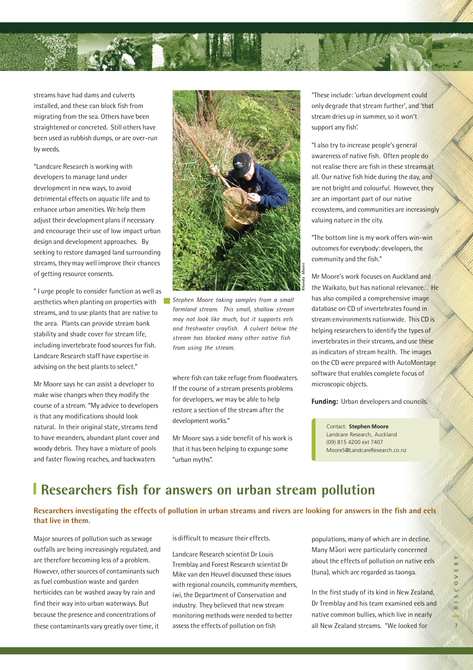

streams have had dams and culverts installed, and these can block fish from migrating from the sea. Others have been straightened or concreted. Still others have been used as rubbish dumps, or are over-run by weeds.

"Landcare Research is working with developers to manage land under development in new ways, to avoid detrimental effects on aquatic life and to enhance urban amenities. We help them adjust their development plans if necessary and encourage their use of low impact urban design and development approaches. By seeking to restore damaged land surrounding streams, they may well improve their chances of getting resource consents.

" I urge people to consider function as well as aesthetics when planting on properties with streams, and to use plants that are native to the area. Plants can provide stream bank stability and shade cover for stream life, including invertebrate food sources for fish. Landcare Research staff have expertise in advising on the best plants to select."

Mr Moore says he can assist a developer to make wise changes when they modify the course of a stream. "My advice to developers is that any modifications should look natural. In their original state, streams tend to have meanders, abundant plant cover and woody debris. They have a mixture of pools and faster flowing reaches, and backwaters



*Stephen Moore taking samples from a small farmland stream. This small, shallow stream may not look like much, but it supports eels and freshwater crayfish. A culvert below the stream has blocked many other native fish from using the stream.*

where fish can take refuge from floodwaters. If the course of a stream presents problems for developers, we may be able to help restore a section of the stream after the development works."

Mr Moore says a side benefit of his work is that it has been helping to expunge some "urban myths".

"These include: 'urban development could only degrade that stream further', and 'that stream dries up in summer, so it won't support any fish'.

"I also try to increase people's general awareness of native fish. Often people do not realise there are fish in these streams at all. Our native fish hide during the day, and are not bright and colourful. However, they are an important part of our native ecosystems, and communities are increasingly valuing nature in the city.

"The bottom line is my work offers win-win outcomes for everybody: developers, the community and the fish."

Mr Moore's work focuses on Auckland and the Waikato, but has national relevance. . He has also compiled a comprehensive image database on CD of invertebrates found in stream environments nationwide. This CD is helping researchers to identify the types of invertebrates in their streams, and use these as indicators of stream health. The images on the CD were prepared with AutoMontage software that enables complete focus of microscopic objects.

Funding: Urban developers and councils.

Contact: **Stephen Moore** Landcare Research, Auckland (09) 815 4200 ext 7407 MooreS@LandcareResearch.co.nz

#### **Researchers fish for answers on urban stream pollution**

#### **Researchers investigating the effects of pollution in urban streams and rivers are looking for answers in the fish and eels that live in them.**

Major sources of pollution such as sewage outfalls are being increasingly regulated, and are therefore becoming less of a problem. However, other sources of contaminants such as fuel combustion waste and garden herbicides can be washed away by rain and find their way into urban waterways. But because the presence and concentrations of these contaminants vary greatly over time, it

is difficult to measure their effects.

Landcare Research scientist Dr Louis Tremblay and Forest Research scientist Dr Mike van den Heuvel discussed these issues with regional councils, community members, iwi, the Department of Conservation and industry. They believed that new stream monitoring methods were needed to better assess the effects of pollution on fish

populations, many of which are in decline. Many Maori were particularly concerned about the effects of pollution on native eels (tuna), which are regarded as taonga.

In the first study of its kind in New Zealand, Dr Tremblay and his team examined eels and native common bullies, which live in nearly all New Zealand streams. "We looked for